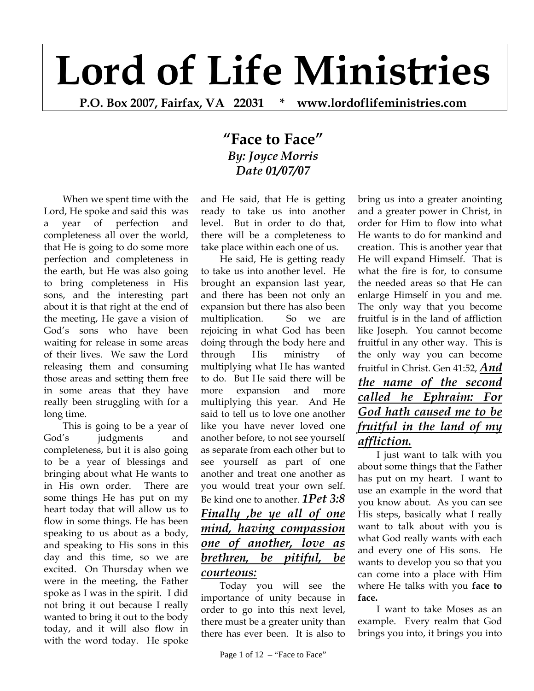# **Lord of Life Ministries**

**P.O. Box 2007, Fairfax, VA 22031 \* www.lordoflifeministries.com** 

## **"Face to Face"** *By: Joyce Morris Date 01/07/07*

When we spent time with the Lord, He spoke and said this was a year of perfection and completeness all over the world, that He is going to do some more perfection and completeness in the earth, but He was also going to bring completeness in His sons, and the interesting part about it is that right at the end of the meeting, He gave a vision of God's sons who have been waiting for release in some areas of their lives. We saw the Lord releasing them and consuming those areas and setting them free in some areas that they have really been struggling with for a long time.

This is going to be a year of God's judgments and completeness, but it is also going to be a year of blessings and bringing about what He wants to in His own order. There are some things He has put on my heart today that will allow us to flow in some things. He has been speaking to us about as a body, and speaking to His sons in this day and this time, so we are excited. On Thursday when we were in the meeting, the Father spoke as I was in the spirit. I did not bring it out because I really wanted to bring it out to the body today, and it will also flow in with the word today. He spoke

and He said, that He is getting ready to take us into another level. But in order to do that, there will be a completeness to take place within each one of us.

He said, He is getting ready to take us into another level. He brought an expansion last year, and there has been not only an expansion but there has also been multiplication. So we are rejoicing in what God has been doing through the body here and through His ministry of multiplying what He has wanted to do. But He said there will be more expansion and more multiplying this year. And He said to tell us to love one another like you have never loved one another before, to not see yourself as separate from each other but to see yourself as part of one another and treat one another as you would treat your own self. Be kind one to another. *1Pet 3:8 Finally ,be ye all of one mind, having compassion one of another, love as brethren, be pitiful, be courteous:*

Today you will see the importance of unity because in order to go into this next level, there must be a greater unity than there has ever been. It is also to

Page 1 of 12 – "Face to Face"

bring us into a greater anointing and a greater power in Christ, in order for Him to flow into what He wants to do for mankind and creation. This is another year that He will expand Himself. That is what the fire is for, to consume the needed areas so that He can enlarge Himself in you and me. The only way that you become fruitful is in the land of affliction like Joseph. You cannot become fruitful in any other way. This is the only way you can become fruitful in Christ. Gen 41:52, *And the name of the second called he Ephraim: For God hath caused me to be fruitful in the land of my affliction.* 

I just want to talk with you about some things that the Father has put on my heart. I want to use an example in the word that you know about. As you can see His steps, basically what I really want to talk about with you is what God really wants with each and every one of His sons. He wants to develop you so that you can come into a place with Him where He talks with you **face to face.** 

I want to take Moses as an example. Every realm that God brings you into, it brings you into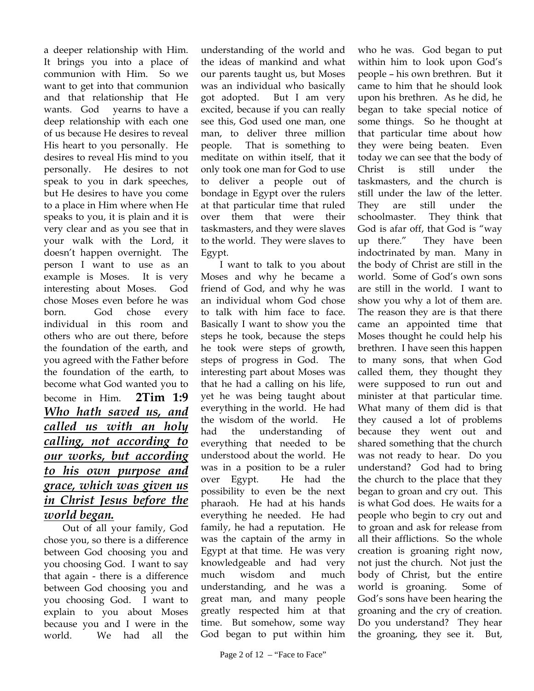a deeper relationship with Him. It brings you into a place of communion with Him. So we want to get into that communion and that relationship that He wants. God yearns to have a deep relationship with each one of us because He desires to reveal His heart to you personally. He desires to reveal His mind to you personally. He desires to not speak to you in dark speeches, but He desires to have you come to a place in Him where when He speaks to you, it is plain and it is very clear and as you see that in your walk with the Lord, it doesn't happen overnight. The person I want to use as an example is Moses. It is very interesting about Moses. God chose Moses even before he was born. God chose every individual in this room and others who are out there, before the foundation of the earth, and you agreed with the Father before the foundation of the earth, to become what God wanted you to become in Him. **2Tim 1:9** *Who hath saved us, and called us with an holy calling, not according to our works, but according to his own purpose and grace, which was given us in Christ Jesus before the world began.* 

Out of all your family, God chose you, so there is a difference between God choosing you and you choosing God. I want to say that again - there is a difference between God choosing you and you choosing God. I want to explain to you about Moses because you and I were in the world. We had all the

understanding of the world and the ideas of mankind and what our parents taught us, but Moses was an individual who basically got adopted. But I am very excited, because if you can really see this, God used one man, one man, to deliver three million people. That is something to meditate on within itself, that it only took one man for God to use to deliver a people out of bondage in Egypt over the rulers at that particular time that ruled over them that were their taskmasters, and they were slaves to the world. They were slaves to Egypt.

I want to talk to you about Moses and why he became a friend of God, and why he was an individual whom God chose to talk with him face to face. Basically I want to show you the steps he took, because the steps he took were steps of growth, steps of progress in God. The interesting part about Moses was that he had a calling on his life, yet he was being taught about everything in the world. He had the wisdom of the world. He had the understanding of everything that needed to be understood about the world. He was in a position to be a ruler over Egypt. He had the possibility to even be the next pharaoh. He had at his hands everything he needed. He had family, he had a reputation. He was the captain of the army in Egypt at that time. He was very knowledgeable and had very much wisdom and much understanding, and he was a great man, and many people greatly respected him at that time. But somehow, some way God began to put within him

who he was. God began to put within him to look upon God's people – his own brethren. But it came to him that he should look upon his brethren. As he did, he began to take special notice of some things. So he thought at that particular time about how they were being beaten. Even today we can see that the body of Christ is still under the taskmasters, and the church is still under the law of the letter. They are still under the schoolmaster. They think that God is afar off, that God is "way up there." They have been indoctrinated by man. Many in the body of Christ are still in the world. Some of God's own sons are still in the world. I want to show you why a lot of them are. The reason they are is that there came an appointed time that Moses thought he could help his brethren. I have seen this happen to many sons, that when God called them, they thought they were supposed to run out and minister at that particular time. What many of them did is that they caused a lot of problems because they went out and shared something that the church was not ready to hear. Do you understand? God had to bring the church to the place that they began to groan and cry out. This is what God does. He waits for a people who begin to cry out and to groan and ask for release from all their afflictions. So the whole creation is groaning right now, not just the church. Not just the body of Christ, but the entire world is groaning. Some of God's sons have been hearing the groaning and the cry of creation. Do you understand? They hear the groaning, they see it. But,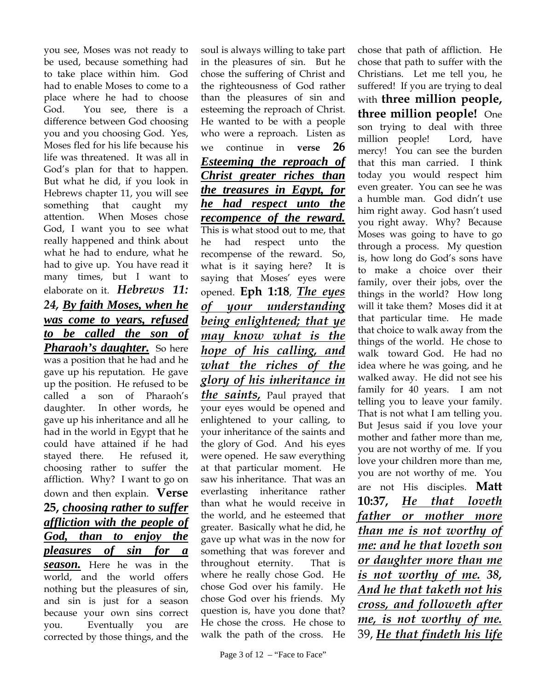you see, Moses was not ready to be used, because something had to take place within him. God had to enable Moses to come to a place where he had to choose God. You see, there is a difference between God choosing you and you choosing God. Yes, Moses fled for his life because his life was threatened. It was all in God's plan for that to happen. But what he did, if you look in Hebrews chapter 11, you will see something that caught my attention. When Moses chose God, I want you to see what really happened and think about what he had to endure, what he had to give up. You have read it many times, but I want to elaborate on it. *Hebrews 11: 24, By faith Moses, when he was come to years, refused to be called the son of Pharaoh's daughter.* So here was a position that he had and he gave up his reputation. He gave up the position. He refused to be called a son of Pharaoh's daughter. In other words, he gave up his inheritance and all he had in the world in Egypt that he could have attained if he had stayed there. He refused it, choosing rather to suffer the affliction. Why? I want to go on down and then explain. **Verse 25,** *choosing rather to suffer affliction with the people of God, than to enjoy the pleasures of sin for a season.* Here he was in the world, and the world offers nothing but the pleasures of sin, and sin is just for a season because your own sins correct you. Eventually you are corrected by those things, and the

soul is always willing to take part in the pleasures of sin. But he chose the suffering of Christ and the righteousness of God rather than the pleasures of sin and esteeming the reproach of Christ. He wanted to be with a people who were a reproach. Listen as we continue in **verse 26**  *Esteeming the reproach of Christ greater riches than the treasures in Egypt, for he had respect unto the recompence of the reward.* This is what stood out to me, that he had respect unto the recompense of the reward. So, what is it saying here? It is saying that Moses' eyes were opened. **Eph 1:18**, *The eyes of your understanding being enlightened; that ye may know what is the hope of his calling, and what the riches of the glory of his inheritance in the saints,* Paul prayed that your eyes would be opened and enlightened to your calling, to your inheritance of the saints and the glory of God. And his eyes were opened. He saw everything at that particular moment. He saw his inheritance. That was an everlasting inheritance rather than what he would receive in the world, and he esteemed that greater. Basically what he did, he gave up what was in the now for something that was forever and throughout eternity. That is where he really chose God. He chose God over his family. He chose God over his friends. My question is, have you done that? He chose the cross. He chose to walk the path of the cross. He

chose that path of affliction. He chose that path to suffer with the Christians. Let me tell you, he suffered! If you are trying to deal with **three million people, three million people!** One son trying to deal with three million people! Lord, have mercy! You can see the burden that this man carried. I think today you would respect him even greater. You can see he was a humble man. God didn't use him right away. God hasn't used you right away. Why? Because Moses was going to have to go through a process. My question is, how long do God's sons have to make a choice over their family, over their jobs, over the things in the world? How long will it take them? Moses did it at that particular time. He made that choice to walk away from the things of the world. He chose to walk toward God. He had no idea where he was going, and he walked away. He did not see his family for 40 years. I am not telling you to leave your family. That is not what I am telling you. But Jesus said if you love your mother and father more than me, you are not worthy of me. If you love your children more than me, you are not worthy of me. You are not His disciples. **Matt 10:37,** *He that loveth father or mother more than me is not worthy of me: and he that loveth son or daughter more than me is not worthy of me. 38, And he that taketh not his cross, and followeth after me, is not worthy of me.* 39, *He that findeth his life*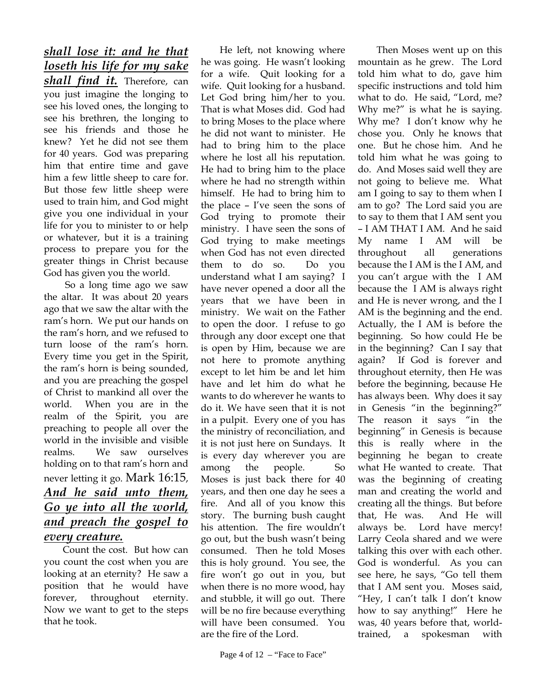## *shall lose it: and he that loseth his life for my sake*

*shall find it.* Therefore, can you just imagine the longing to see his loved ones, the longing to see his brethren, the longing to see his friends and those he knew? Yet he did not see them for 40 years. God was preparing him that entire time and gave him a few little sheep to care for. But those few little sheep were used to train him, and God might give you one individual in your life for you to minister to or help or whatever, but it is a training process to prepare you for the greater things in Christ because God has given you the world.

 So a long time ago we saw the altar. It was about 20 years ago that we saw the altar with the ram's horn. We put our hands on the ram's horn, and we refused to turn loose of the ram's horn. Every time you get in the Spirit, the ram's horn is being sounded, and you are preaching the gospel of Christ to mankind all over the world. When you are in the realm of the Spirit, you are preaching to people all over the world in the invisible and visible realms. We saw ourselves holding on to that ram's horn and never letting it go. Mark 16:15, *And he said unto them, Go ye into all the world, and preach the gospel to every creature.*

Count the cost. But how can you count the cost when you are looking at an eternity? He saw a position that he would have forever, throughout eternity. Now we want to get to the steps that he took.

He left, not knowing where he was going. He wasn't looking for a wife. Quit looking for a wife. Quit looking for a husband. Let God bring him/her to you. That is what Moses did. God had to bring Moses to the place where he did not want to minister. He had to bring him to the place where he lost all his reputation. He had to bring him to the place where he had no strength within himself. He had to bring him to the place – I've seen the sons of God trying to promote their ministry. I have seen the sons of God trying to make meetings when God has not even directed them to do so. Do you understand what I am saying? I have never opened a door all the years that we have been in ministry. We wait on the Father to open the door. I refuse to go through any door except one that is open by Him, because we are not here to promote anything except to let him be and let him have and let him do what he wants to do wherever he wants to do it. We have seen that it is not in a pulpit. Every one of you has the ministry of reconciliation, and it is not just here on Sundays. It is every day wherever you are among the people. So Moses is just back there for 40 years, and then one day he sees a fire. And all of you know this story. The burning bush caught his attention. The fire wouldn't go out, but the bush wasn't being consumed. Then he told Moses this is holy ground. You see, the fire won't go out in you, but when there is no more wood, hay and stubble, it will go out. There will be no fire because everything will have been consumed. You are the fire of the Lord.

Then Moses went up on this mountain as he grew. The Lord told him what to do, gave him specific instructions and told him what to do. He said, "Lord, me? Why me?" is what he is saying. Why me? I don't know why he chose you. Only he knows that one. But he chose him. And he told him what he was going to do. And Moses said well they are not going to believe me. What am I going to say to them when I am to go? The Lord said you are to say to them that I AM sent you – I AM THAT I AM. And he said My name I AM will be throughout all generations because the I AM is the I AM, and you can't argue with the I AM because the I AM is always right and He is never wrong, and the I AM is the beginning and the end. Actually, the I AM is before the beginning. So how could He be in the beginning? Can I say that again? If God is forever and throughout eternity, then He was before the beginning, because He has always been. Why does it say in Genesis "in the beginning?" The reason it says "in the beginning" in Genesis is because this is really where in the beginning he began to create what He wanted to create. That was the beginning of creating man and creating the world and creating all the things. But before that, He was. And He will always be. Lord have mercy! Larry Ceola shared and we were talking this over with each other. God is wonderful. As you can see here, he says, "Go tell them that I AM sent you. Moses said, "Hey, I can't talk I don't know how to say anything!" Here he was, 40 years before that, worldtrained, a spokesman with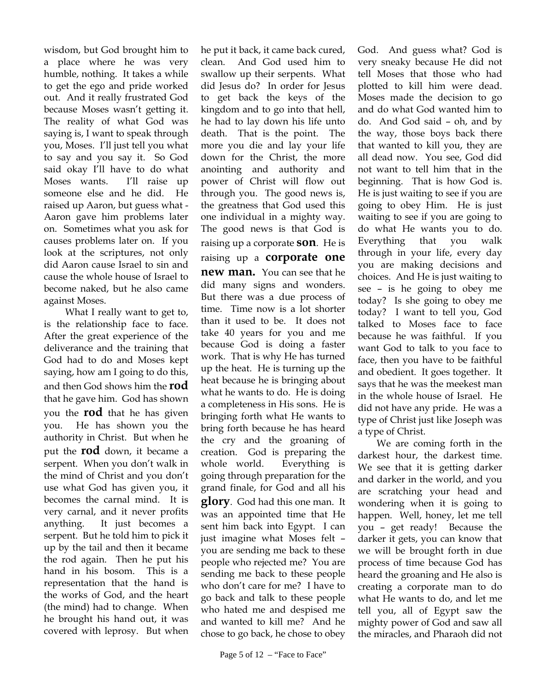wisdom, but God brought him to a place where he was very humble, nothing. It takes a while to get the ego and pride worked out. And it really frustrated God because Moses wasn't getting it. The reality of what God was saying is, I want to speak through you, Moses. I'll just tell you what to say and you say it. So God said okay I'll have to do what Moses wants. I'll raise up someone else and he did. He raised up Aaron, but guess what - Aaron gave him problems later on. Sometimes what you ask for causes problems later on. If you look at the scriptures, not only did Aaron cause Israel to sin and cause the whole house of Israel to become naked, but he also came against Moses.

 What I really want to get to, is the relationship face to face. After the great experience of the deliverance and the training that God had to do and Moses kept saying, how am I going to do this, and then God shows him the **rod** that he gave him. God has shown you the **rod** that he has given you. He has shown you the authority in Christ. But when he put the **rod** down, it became a serpent. When you don't walk in the mind of Christ and you don't use what God has given you, it becomes the carnal mind. It is very carnal, and it never profits anything. It just becomes a serpent. But he told him to pick it up by the tail and then it became the rod again. Then he put his hand in his bosom. This is a representation that the hand is the works of God, and the heart (the mind) had to change. When he brought his hand out, it was covered with leprosy. But when

he put it back, it came back cured, clean. And God used him to swallow up their serpents. What did Jesus do? In order for Jesus to get back the keys of the kingdom and to go into that hell, he had to lay down his life unto death. That is the point. The more you die and lay your life down for the Christ, the more anointing and authority and power of Christ will flow out through you. The good news is, the greatness that God used this one individual in a mighty way. The good news is that God is raising up a corporate **son**. He is raising up a **corporate one new man.** You can see that he did many signs and wonders. But there was a due process of time. Time now is a lot shorter than it used to be. It does not take 40 years for you and me because God is doing a faster work. That is why He has turned up the heat. He is turning up the heat because he is bringing about what he wants to do. He is doing a completeness in His sons. He is bringing forth what He wants to bring forth because he has heard the cry and the groaning of creation. God is preparing the whole world. Everything is going through preparation for the grand finale, for God and all his **glory**. God had this one man. It was an appointed time that He sent him back into Egypt. I can just imagine what Moses felt – you are sending me back to these people who rejected me? You are sending me back to these people who don't care for me? I have to go back and talk to these people who hated me and despised me and wanted to kill me? And he chose to go back, he chose to obey

God. And guess what? God is very sneaky because He did not tell Moses that those who had plotted to kill him were dead. Moses made the decision to go and do what God wanted him to do. And God said – oh, and by the way, those boys back there that wanted to kill you, they are all dead now. You see, God did not want to tell him that in the beginning. That is how God is. He is just waiting to see if you are going to obey Him. He is just waiting to see if you are going to do what He wants you to do. Everything that you walk through in your life, every day you are making decisions and choices. And He is just waiting to see – is he going to obey me today? Is she going to obey me today? I want to tell you, God talked to Moses face to face because he was faithful. If you want God to talk to you face to face, then you have to be faithful and obedient. It goes together. It says that he was the meekest man in the whole house of Israel. He did not have any pride. He was a type of Christ just like Joseph was a type of Christ.

We are coming forth in the darkest hour, the darkest time. We see that it is getting darker and darker in the world, and you are scratching your head and wondering when it is going to happen. Well, honey, let me tell you – get ready! Because the darker it gets, you can know that we will be brought forth in due process of time because God has heard the groaning and He also is creating a corporate man to do what He wants to do, and let me tell you, all of Egypt saw the mighty power of God and saw all the miracles, and Pharaoh did not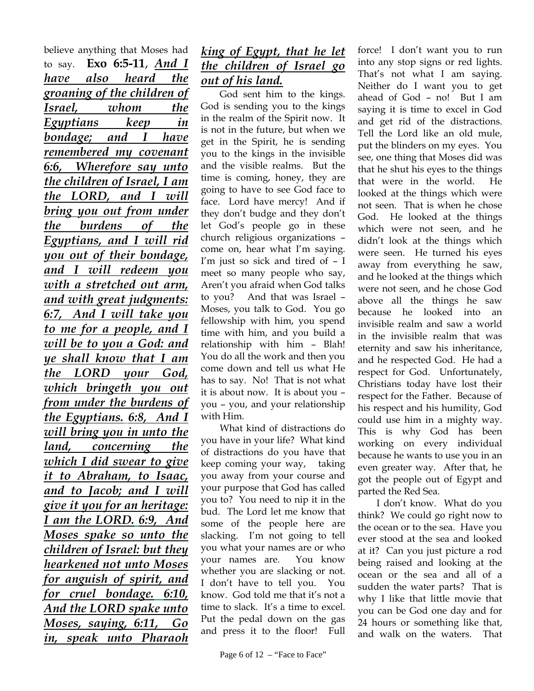believe anything that Moses had to say. **Exo 6:5-11**, *And I have also heard the groaning of the children of Israel, whom the Egyptians keep in bondage; and I have remembered my covenant 6:6, Wherefore say unto the children of Israel, I am the LORD, and I will bring you out from under the burdens of the Egyptians, and I will rid you out of their bondage, and I will redeem you with a stretched out arm, and with great judgments: 6:7, And I will take you to me for a people, and I will be to you a God: and ye shall know that I am the LORD your God, which bringeth you out from under the burdens of the Egyptians. 6:8, And I will bring you in unto the land, concerning the which I did swear to give it to Abraham, to Isaac, and to Jacob; and I will give it you for an heritage: I am the LORD. 6:9, And Moses spake so unto the children of Israel: but they hearkened not unto Moses for anguish of spirit, and for cruel bondage. 6:10, And the LORD spake unto Moses, saying, 6:11, Go in, speak unto Pharaoh* 

#### *king of Egypt, that he let the children of Israel go out of his land.*

God sent him to the kings. God is sending you to the kings in the realm of the Spirit now. It is not in the future, but when we get in the Spirit, he is sending you to the kings in the invisible and the visible realms. But the time is coming, honey, they are going to have to see God face to face. Lord have mercy! And if they don't budge and they don't let God's people go in these church religious organizations – come on, hear what I'm saying. I'm just so sick and tired of – I meet so many people who say, Aren't you afraid when God talks to you? And that was Israel – Moses, you talk to God. You go fellowship with him, you spend time with him, and you build a relationship with him – Blah! You do all the work and then you come down and tell us what He has to say. No! That is not what it is about now. It is about you – you – you, and your relationship with Him.

What kind of distractions do you have in your life? What kind of distractions do you have that keep coming your way, taking you away from your course and your purpose that God has called you to? You need to nip it in the bud. The Lord let me know that some of the people here are slacking. I'm not going to tell you what your names are or who your names are. You know whether you are slacking or not. I don't have to tell you. You know. God told me that it's not a time to slack. It's a time to excel. Put the pedal down on the gas and press it to the floor! Full

That's not what I am saying. Neither do I want you to get ahead of God – no! But I am saying it is time to excel in God and get rid of the distractions. Tell the Lord like an old mule, put the blinders on my eyes. You see, one thing that Moses did was that he shut his eyes to the things that were in the world. He looked at the things which were not seen. That is when he chose God. He looked at the things which were not seen, and he didn't look at the things which were seen. He turned his eyes away from everything he saw, and he looked at the things which were not seen, and he chose God above all the things he saw because he looked into an invisible realm and saw a world in the invisible realm that was eternity and saw his inheritance, and he respected God. He had a respect for God. Unfortunately, Christians today have lost their respect for the Father. Because of his respect and his humility, God could use him in a mighty way. This is why God has been working on every individual because he wants to use you in an even greater way. After that, he got the people out of Egypt and parted the Red Sea.

force! I don't want you to run into any stop signs or red lights.

I don't know. What do you think? We could go right now to the ocean or to the sea. Have you ever stood at the sea and looked at it? Can you just picture a rod being raised and looking at the ocean or the sea and all of a sudden the water parts? That is why I like that little movie that you can be God one day and for 24 hours or something like that, and walk on the waters. That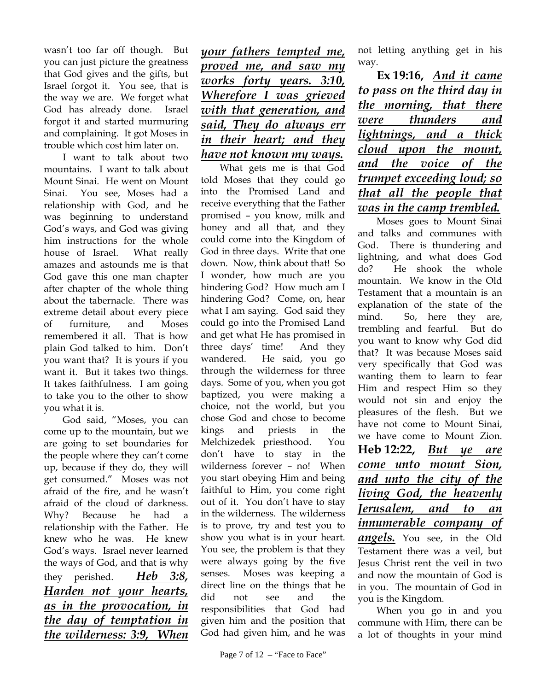wasn't too far off though. But you can just picture the greatness that God gives and the gifts, but Israel forgot it. You see, that is the way we are. We forget what God has already done. Israel forgot it and started murmuring and complaining. It got Moses in trouble which cost him later on.

I want to talk about two mountains. I want to talk about Mount Sinai. He went on Mount Sinai. You see, Moses had a relationship with God, and he was beginning to understand God's ways, and God was giving him instructions for the whole house of Israel. What really amazes and astounds me is that God gave this one man chapter after chapter of the whole thing about the tabernacle. There was extreme detail about every piece of furniture, and Moses remembered it all. That is how plain God talked to him. Don't you want that? It is yours if you want it. But it takes two things. It takes faithfulness. I am going to take you to the other to show you what it is.

God said, "Moses, you can come up to the mountain, but we are going to set boundaries for the people where they can't come up, because if they do, they will get consumed." Moses was not afraid of the fire, and he wasn't afraid of the cloud of darkness. Why? Because he had a relationship with the Father. He knew who he was. He knew God's ways. Israel never learned the ways of God, and that is why they perished. *Heb 3:8, Harden not your hearts, as in the provocation, in the day of temptation in the wilderness: 3:9, When*  *your fathers tempted me, proved me, and saw my works forty years. 3:10, Wherefore I was grieved with that generation, and said, They do always err in their heart; and they have not known my ways.* 

What gets me is that God told Moses that they could go into the Promised Land and receive everything that the Father promised – you know, milk and honey and all that, and they could come into the Kingdom of God in three days. Write that one down. Now, think about that! So I wonder, how much are you hindering God? How much am I hindering God? Come, on, hear what I am saying. God said they could go into the Promised Land and get what He has promised in three days' time! And they wandered. He said, you go through the wilderness for three days. Some of you, when you got baptized, you were making a choice, not the world, but you chose God and chose to become kings and priests in the Melchizedek priesthood. You don't have to stay in the wilderness forever – no! When you start obeying Him and being faithful to Him, you come right out of it. You don't have to stay in the wilderness. The wilderness is to prove, try and test you to show you what is in your heart. You see, the problem is that they were always going by the five senses. Moses was keeping a direct line on the things that he did not see and the responsibilities that God had given him and the position that God had given him, and he was

not letting anything get in his way.

**Ex 19:16,** *And it came to pass on the third day in the morning, that there were thunders and lightnings, and a thick cloud upon the mount, and the voice of the trumpet exceeding loud; so that all the people that was in the camp trembled.*

Moses goes to Mount Sinai and talks and communes with God. There is thundering and lightning, and what does God do? He shook the whole mountain. We know in the Old Testament that a mountain is an explanation of the state of the mind. So, here they are, trembling and fearful. But do you want to know why God did that? It was because Moses said very specifically that God was wanting them to learn to fear Him and respect Him so they would not sin and enjoy the pleasures of the flesh. But we have not come to Mount Sinai, we have come to Mount Zion. **Heb 12:22,** *But ye are come unto mount Sion, and unto the city of the living God, the heavenly Jerusalem, and to an innumerable company of angels.* You see, in the Old Testament there was a veil, but Jesus Christ rent the veil in two

and now the mountain of God is in you. The mountain of God in you is the Kingdom.

When you go in and you commune with Him, there can be a lot of thoughts in your mind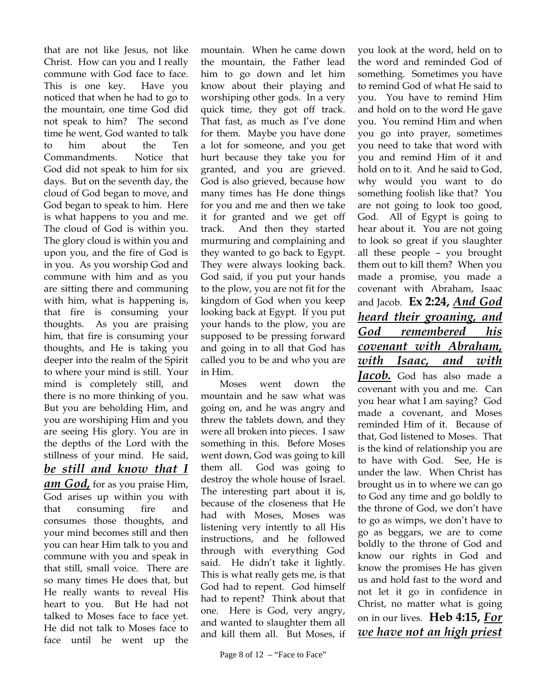that are not like Jesus, not like Christ. How can you and I really commune with God face to face. This is one key. Have you noticed that when he had to go to the mountain, one time God did not speak to him? The second time he went, God wanted to talk to him about the Ten Commandments. Notice that God did not speak to him for six days. But on the seventh day, the cloud of God began to move, and God began to speak to him. Here is what happens to you and me. The cloud of God is within you. The glory cloud is within you and upon you, and the fire of God is in you. As you worship God and commune with him and as you are sitting there and communing with him, what is happening is, that fire is consuming your thoughts. As you are praising him, that fire is consuming your thoughts, and He is taking you deeper into the realm of the Spirit to where your mind is still. Your mind is completely still, and there is no more thinking of you. But you are beholding Him, and you are worshiping Him and you are seeing His glory. You are in the depths of the Lord with the stillness of your mind. He said, *be still and know that I am God,* for as you praise Him, God arises up within you with that consuming fire and consumes those thoughts, and your mind becomes still and then you can hear Him talk to you and commune with you and speak in that still, small voice. There are so many times He does that, but He really wants to reveal His heart to you. But He had not talked to Moses face to face yet. He did not talk to Moses face to face until he went up the

mountain. When he came down the mountain, the Father lead him to go down and let him know about their playing and worshiping other gods. In a very quick time, they got off track. That fast, as much as I've done for them. Maybe you have done a lot for someone, and you get hurt because they take you for granted, and you are grieved. God is also grieved, because how many times has He done things for you and me and then we take it for granted and we get off track. And then they started murmuring and complaining and they wanted to go back to Egypt. They were always looking back. God said, if you put your hands to the plow, you are not fit for the kingdom of God when you keep looking back at Egypt. If you put your hands to the plow, you are supposed to be pressing forward and going in to all that God has called you to be and who you are in Him.

Moses went down the mountain and he saw what was going on, and he was angry and threw the tablets down, and they were all broken into pieces. I saw something in this. Before Moses went down, God was going to kill them all. God was going to destroy the whole house of Israel. The interesting part about it is, because of the closeness that He had with Moses, Moses was listening very intently to all His instructions, and he followed through with everything God said. He didn't take it lightly. This is what really gets me, is that God had to repent. God himself had to repent? Think about that one. Here is God, very angry, and wanted to slaughter them all and kill them all. But Moses, if

you look at the word, held on to the word and reminded God of something. Sometimes you have to remind God of what He said to you. You have to remind Him and hold on to the word He gave you. You remind Him and when you go into prayer, sometimes you need to take that word with you and remind Him of it and hold on to it. And he said to God, why would you want to do something foolish like that? You are not going to look too good, God. All of Egypt is going to hear about it. You are not going to look so great if you slaughter all these people – you brought them out to kill them? When you made a promise, you made a covenant with Abraham, Isaac and Jacob. **Ex 2:24,** *And God heard their groaning, and God remembered his covenant with Abraham, with Isaac, and with Jacob.* God has also made a covenant with you and me. Can you hear what I am saying? God made a covenant, and Moses reminded Him of it. Because of that, God listened to Moses. That is the kind of relationship you are to have with God. See, He is under the law. When Christ has brought us in to where we can go to God any time and go boldly to the throne of God, we don't have to go as wimps, we don't have to go as beggars, we are to come boldly to the throne of God and know our rights in God and know the promises He has given us and hold fast to the word and not let it go in confidence in Christ, no matter what is going on in our lives. **Heb 4:15,** *For we have not an high priest*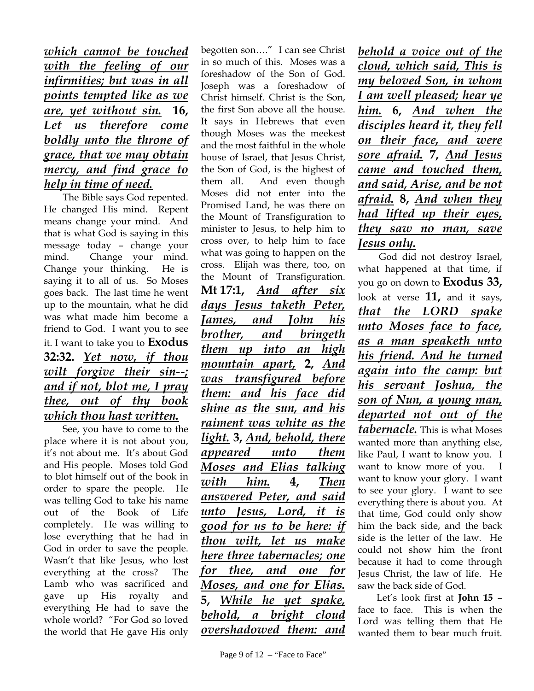#### *which cannot be touched with the feeling of our infirmities; but was in all points tempted like as we are, yet without sin.* **16,**  *Let us therefore come boldly unto the throne of grace, that we may obtain mercy, and find grace to help in time of need.*

The Bible says God repented. He changed His mind. Repent means change your mind. And that is what God is saying in this message today – change your mind. Change your mind. Change your thinking. He is saying it to all of us. So Moses goes back. The last time he went up to the mountain, what he did was what made him become a friend to God. I want you to see it. I want to take you to **Exodus 32:32.** *Yet now, if thou wilt forgive their sin--; and if not, blot me, I pray thee, out of thy book which thou hast written.*

See, you have to come to the place where it is not about you, it's not about me. It's about God and His people. Moses told God to blot himself out of the book in order to spare the people. He was telling God to take his name out of the Book of Life completely. He was willing to lose everything that he had in God in order to save the people. Wasn't that like Jesus, who lost everything at the cross? The Lamb who was sacrificed and gave up His royalty and everything He had to save the whole world? "For God so loved the world that He gave His only

begotten son…." I can see Christ in so much of this. Moses was a foreshadow of the Son of God. Joseph was a foreshadow of Christ himself. Christ is the Son, the first Son above all the house. It says in Hebrews that even though Moses was the meekest and the most faithful in the whole house of Israel, that Jesus Christ, the Son of God, is the highest of them all. And even though Moses did not enter into the Promised Land, he was there on the Mount of Transfiguration to minister to Jesus, to help him to cross over, to help him to face what was going to happen on the cross. Elijah was there, too, on the Mount of Transfiguration. **Mt 17:1,** *And after six days Jesus taketh Peter, James, and John his brother, and bringeth them up into an high mountain apart,* **2,** *And was transfigured before them: and his face did shine as the sun, and his raiment was white as the light.* **3,** *And, behold, there appeared unto them Moses and Elias talking with him.* **4,** *Then answered Peter, and said unto Jesus, Lord, it is good for us to be here: if thou wilt, let us make here three tabernacles; one for thee, and one for Moses, and one for Elias.* **5,** *While he yet spake, behold, a bright cloud overshadowed them: and* 

*behold a voice out of the cloud, which said, This is my beloved Son, in whom I am well pleased; hear ye him.* **6,** *And when the disciples heard it, they fell on their face, and were sore afraid.* **7,** *And Jesus came and touched them, and said, Arise, and be not afraid.* **8,** *And when they had lifted up their eyes, they saw no man, save Jesus only.*

 God did not destroy Israel, what happened at that time, if you go on down to **Exodus 33,** look at verse **11,** and it says, *that the LORD spake unto Moses face to face, as a man speaketh unto his friend. And he turned again into the camp: but his servant Joshua, the son of Nun, a young man, departed not out of the tabernacle.* This is what Moses wanted more than anything else, like Paul, I want to know you. I want to know more of you. I want to know your glory. I want to see your glory. I want to see everything there is about you. At that time, God could only show him the back side, and the back side is the letter of the law. He could not show him the front because it had to come through Jesus Christ, the law of life. He

saw the back side of God. Let's look first at **John 15** face to face. This is when the Lord was telling them that He wanted them to bear much fruit.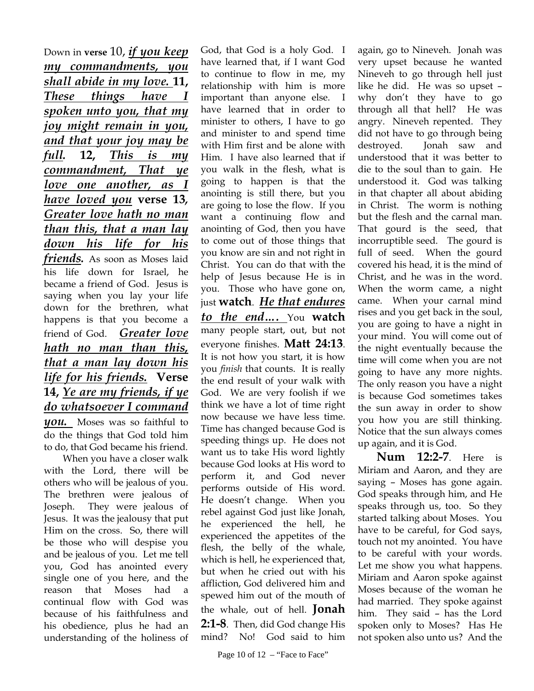Down in **verse** 10, *if you keep my commandments, you shall abide in my love.* **11,**  *These things have I spoken unto you, that my joy might remain in you, and that your joy may be full.* **12,** *This is my commandment, That ye love one another, as I have loved you* **verse 13***, Greater love hath no man than this, that a man lay down his life for his friends.* As soon as Moses laid his life down for Israel, he became a friend of God. Jesus is saying when you lay your life down for the brethren, what happens is that you become a friend of God. *Greater love hath no man than this, that a man lay down his life for his friends.* **Verse 14,** *Ye are my friends, if ye do whatsoever I command you.* Moses was so faithful to do the things that God told him to do, that God became his friend.

When you have a closer walk with the Lord, there will be others who will be jealous of you. The brethren were jealous of Joseph. They were jealous of Jesus. It was the jealousy that put Him on the cross. So, there will be those who will despise you and be jealous of you. Let me tell you, God has anointed every single one of you here, and the reason that Moses had continual flow with God was because of his faithfulness and his obedience, plus he had an understanding of the holiness of

God, that God is a holy God. I have learned that, if I want God to continue to flow in me, my relationship with him is more important than anyone else. I have learned that in order to minister to others, I have to go and minister to and spend time with Him first and be alone with Him. I have also learned that if you walk in the flesh, what is going to happen is that the anointing is still there, but you are going to lose the flow. If you want a continuing flow and anointing of God, then you have to come out of those things that you know are sin and not right in Christ. You can do that with the help of Jesus because He is in you. Those who have gone on, just **watch**. *He that endures to the end….* You **watch** many people start, out, but not everyone finishes. **Matt 24:13**. It is not how you start, it is how you *finish* that counts. It is really the end result of your walk with God. We are very foolish if we think we have a lot of time right now because we have less time. Time has changed because God is speeding things up. He does not want us to take His word lightly because God looks at His word to perform it, and God never performs outside of His word. He doesn't change. When you rebel against God just like Jonah, he experienced the hell, he experienced the appetites of the flesh, the belly of the whale, which is hell, he experienced that, but when he cried out with his affliction, God delivered him and spewed him out of the mouth of the whale, out of hell. **Jonah 2:1-8**. Then, did God change His mind? No! God said to him

again, go to Nineveh. Jonah was very upset because he wanted Nineveh to go through hell just like he did. He was so upset – why don't they have to go through all that hell? He was angry. Nineveh repented. They did not have to go through being destroyed. Jonah saw and understood that it was better to die to the soul than to gain. He understood it. God was talking in that chapter all about abiding in Christ. The worm is nothing but the flesh and the carnal man. That gourd is the seed, that incorruptible seed. The gourd is full of seed. When the gourd covered his head, it is the mind of Christ, and he was in the word. When the worm came, a night came. When your carnal mind rises and you get back in the soul, you are going to have a night in your mind. You will come out of the night eventually because the time will come when you are not going to have any more nights. The only reason you have a night is because God sometimes takes the sun away in order to show you how you are still thinking. Notice that the sun always comes up again, and it is God.

**Num 12:2-7**. Here is Miriam and Aaron, and they are saying – Moses has gone again. God speaks through him, and He speaks through us, too. So they started talking about Moses. You have to be careful, for God says, touch not my anointed. You have to be careful with your words. Let me show you what happens. Miriam and Aaron spoke against Moses because of the woman he had married. They spoke against him. They said – has the Lord spoken only to Moses? Has He not spoken also unto us? And the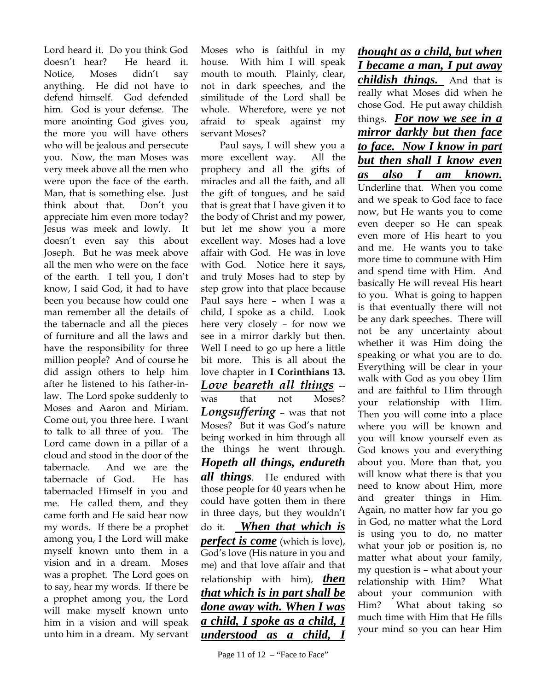Lord heard it. Do you think God doesn't hear? He heard it. Notice, Moses didn't say anything. He did not have to defend himself. God defended him. God is your defense. The more anointing God gives you, the more you will have others who will be jealous and persecute you. Now, the man Moses was very meek above all the men who were upon the face of the earth. Man, that is something else. Just think about that. Don't you appreciate him even more today? Jesus was meek and lowly. It doesn't even say this about Joseph. But he was meek above all the men who were on the face of the earth. I tell you, I don't know, I said God, it had to have been you because how could one man remember all the details of the tabernacle and all the pieces of furniture and all the laws and have the responsibility for three million people? And of course he did assign others to help him after he listened to his father-inlaw. The Lord spoke suddenly to Moses and Aaron and Miriam. Come out, you three here. I want to talk to all three of you. The Lord came down in a pillar of a cloud and stood in the door of the tabernacle. And we are the tabernacle of God. He has tabernacled Himself in you and me. He called them, and they came forth and He said hear now my words. If there be a prophet among you, I the Lord will make myself known unto them in a vision and in a dream. Moses was a prophet. The Lord goes on to say, hear my words. If there be a prophet among you, the Lord will make myself known unto him in a vision and will speak unto him in a dream. My servant

Moses who is faithful in my house. With him I will speak mouth to mouth. Plainly, clear, not in dark speeches, and the similitude of the Lord shall be whole. Wherefore, were ye not afraid to speak against my servant Moses?

Paul says, I will shew you a more excellent way. All the prophecy and all the gifts of miracles and all the faith, and all the gift of tongues, and he said that is great that I have given it to the body of Christ and my power, but let me show you a more excellent way. Moses had a love affair with God. He was in love with God. Notice here it says, and truly Moses had to step by step grow into that place because Paul says here – when I was a child, I spoke as a child. Look here very closely – for now we see in a mirror darkly but then. Well I need to go up here a little bit more. This is all about the love chapter in **I Corinthians 13.**  *Love beareth all things* - was that not Moses? *Longsuffering* – was that not Moses? But it was God's nature being worked in him through all the things he went through. *Hopeth all things, endureth all things*. He endured with those people for 40 years when he could have gotten them in there in three days, but they wouldn't do it. *When that which is perfect is come* (which is love), God's love (His nature in you and me) and that love affair and that relationship with him), *then that which is in part shall be done away with. When I was a child, I spoke as a child, I understood as a child,* 

Page 11 of 12 – "Face to Face"

*thought as a child, but when I became a man, I put away childish things.* And that is really what Moses did when he chose God. He put away childish things. *For now we see in a mirror darkly but then face to face. Now I know in part but then shall I know even as also I am known.*  Underline that. When you come and we speak to God face to face now, but He wants you to come even deeper so He can speak even more of His heart to you and me. He wants you to take more time to commune with Him and spend time with Him. And basically He will reveal His heart to you. What is going to happen is that eventually there will not be any dark speeches. There will not be any uncertainty about whether it was Him doing the speaking or what you are to do. Everything will be clear in your walk with God as you obey Him and are faithful to Him through your relationship with Him. Then you will come into a place where you will be known and you will know yourself even as God knows you and everything about you. More than that, you will know what there is that you need to know about Him, more and greater things in Him. Again, no matter how far you go in God, no matter what the Lord is using you to do, no matter what your job or position is, no matter what about your family, my question is – what about your relationship with Him? What about your communion with Him? What about taking so much time with Him that He fills your mind so you can hear Him